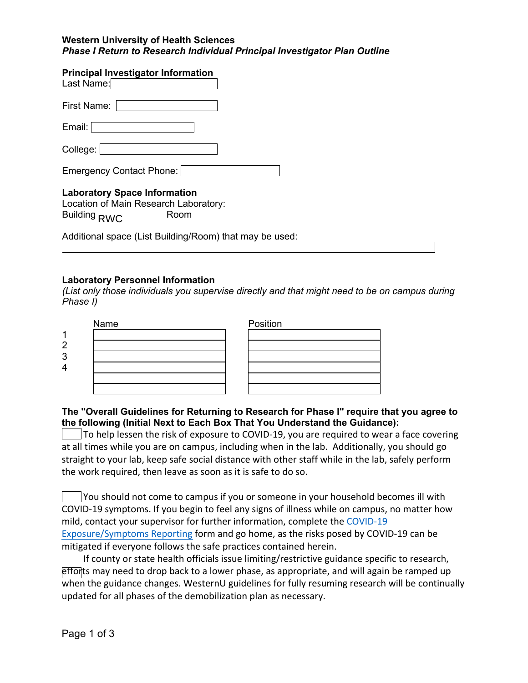### **Western University of Health Sciences** *Phase I Return to Research Individual Principal Investigator Plan Outline*

### **Principal Investigator Information**

| Last Name:                                                                   |
|------------------------------------------------------------------------------|
| First Name:                                                                  |
| Email:                                                                       |
| College:                                                                     |
| Emergency Contact Phone:                                                     |
| <b>Laboratory Space Information</b><br>Location of Main Research Laboratory: |

Building <sub>RWC</sub> Room

Additional space (List Building/Room) that may be used:

# **Laboratory Personnel Information**

*(List only those individuals you supervise directly and that might need to be on campus during Phase I)*

| Name | Position |
|------|----------|
|      |          |
|      |          |
|      |          |
|      |          |
|      |          |
|      |          |

# **The "Overall Guidelines for Returning to Research for Phase I" require that you agree to the following (Initial Next to Each Box That You Understand the Guidance):**

 To help lessen the risk of exposure to COVID-19, you are required to wear a face covering at all times while you are on campus, including when in the lab. Additionally, you should go straight to your lab, keep safe social distance with other staff while in the lab, safely perform the work required, then leave as soon as it is safe to do so.

 You should not come to campus if you or someone in your household becomes ill with COVID-19 symptoms. If you begin to feel any signs of illness while on campus, no matter how mild, contact your supervisor for further information, complete the COVID-19 Exposure/Symptoms Reporting form and go home, as the risks posed by COVID-19 can be mitigated if everyone follows the safe practices contained herein.

 If county or state health officials issue limiting/restrictive guidance specific to research, efforts may need to drop back to a lower phase, as appropriate, and will again be ramped up when the guidance changes. WesternU guidelines for fully resuming research will be continually updated for all phases of the demobilization plan as necessary.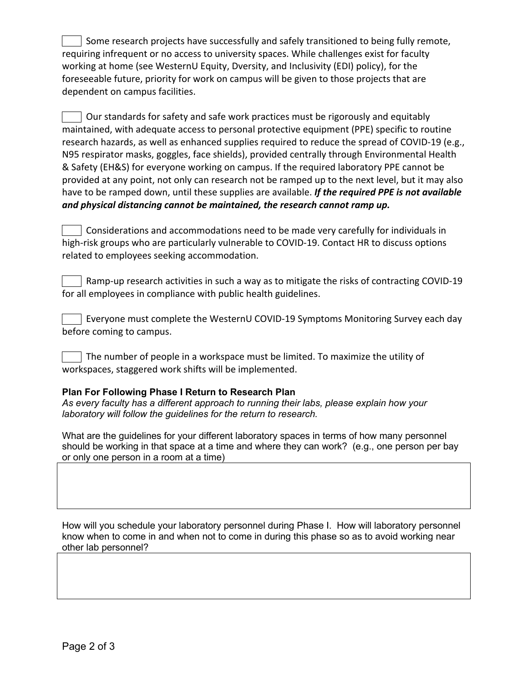Some research projects have successfully and safely transitioned to being fully remote, requiring infrequent or no access to university spaces. While challenges exist for faculty working at home (see WesternU Equity, Dversity, and Inclusivity (EDI) policy), for the foreseeable future, priority for work on campus will be given to those projects that are dependent on campus facilities.

 Our standards for safety and safe work practices must be rigorously and equitably maintained, with adequate access to personal protective equipment (PPE) specific to routine research hazards, as well as enhanced supplies required to reduce the spread of COVID-19 (e.g., N95 respirator masks, goggles, face shields), provided centrally through Environmental Health & Safety (EH&S) for everyone working on campus. If the required laboratory PPE cannot be provided at any point, not only can research not be ramped up to the next level, but it may also have to be ramped down, until these supplies are available. *If the required PPE is not available and physical distancing cannot be maintained, the research cannot ramp up.* 

 Considerations and accommodations need to be made very carefully for individuals in high-risk groups who are particularly vulnerable to COVID-19. Contact HR to discuss options related to employees seeking accommodation.

 Ramp-up research activities in such a way as to mitigate the risks of contracting COVID-19 for all employees in compliance with public health guidelines.

 Everyone must complete the WesternU COVID-19 Symptoms Monitoring Survey each day before coming to campus.

 The number of people in a workspace must be limited. To maximize the utility of workspaces, staggered work shifts will be implemented.

# **Plan For Following Phase I Return to Research Plan**

*As every faculty has a different approach to running their labs, please explain how your laboratory will follow the guidelines for the return to research.*

What are the guidelines for your different laboratory spaces in terms of how many personnel should be working in that space at a time and where they can work? (e.g., one person per bay or only one person in a room at a time)

How will you schedule your laboratory personnel during Phase I. How will laboratory personnel know when to come in and when not to come in during this phase so as to avoid working near other lab personnel?